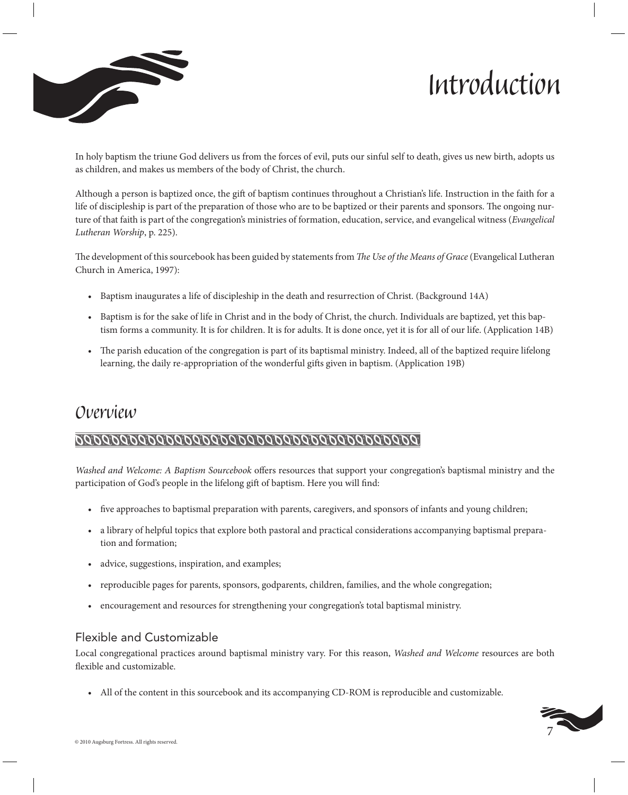



In holy baptism the triune God delivers us from the forces of evil, puts our sinful self to death, gives us new birth, adopts us as children, and makes us members of the body of Christ, the church.

Although a person is baptized once, the gift of baptism continues throughout a Christian's life. Instruction in the faith for a life of discipleship is part of the preparation of those who are to be baptized or their parents and sponsors. The ongoing nurture of that faith is part of the congregation's ministries of formation, education, service, and evangelical witness (*Evangelical Lutheran Worship*, p. 225).

The development of this sourcebook has been guided by statements from *The Use of the Means of Grace* (Evangelical Lutheran Church in America, 1997):

- • Baptism inaugurates a life of discipleship in the death and resurrection of Christ. (Background 14A)
- • Baptism is for the sake of life in Christ and in the body of Christ, the church. Individuals are baptized, yet this baptism forms a community. It is for children. It is for adults. It is done once, yet it is for all of our life. (Application 14B)
- The parish education of the congregation is part of its baptismal ministry. Indeed, all of the baptized require lifelong learning, the daily re-appropriation of the wonderful gifts given in baptism. (Application 19B)

# *Overview*

#### 

*Washed and Welcome: A Baptism Sourcebook* offers resources that support your congregation's baptismal ministry and the participation of God's people in the lifelong gift of baptism. Here you will find:

- • five approaches to baptismal preparation with parents, caregivers, and sponsors of infants and young children;
- • a library of helpful topics that explore both pastoral and practical considerations accompanying baptismal preparation and formation;
- advice, suggestions, inspiration, and examples;
- reproducible pages for parents, sponsors, godparents, children, families, and the whole congregation;
- • encouragement and resources for strengthening your congregation's total baptismal ministry.

#### Flexible and Customizable

Local congregational practices around baptismal ministry vary. For this reason, *Washed and Welcome* resources are both flexible and customizable.

• All of the content in this sourcebook and its accompanying CD-ROM is reproducible and customizable.